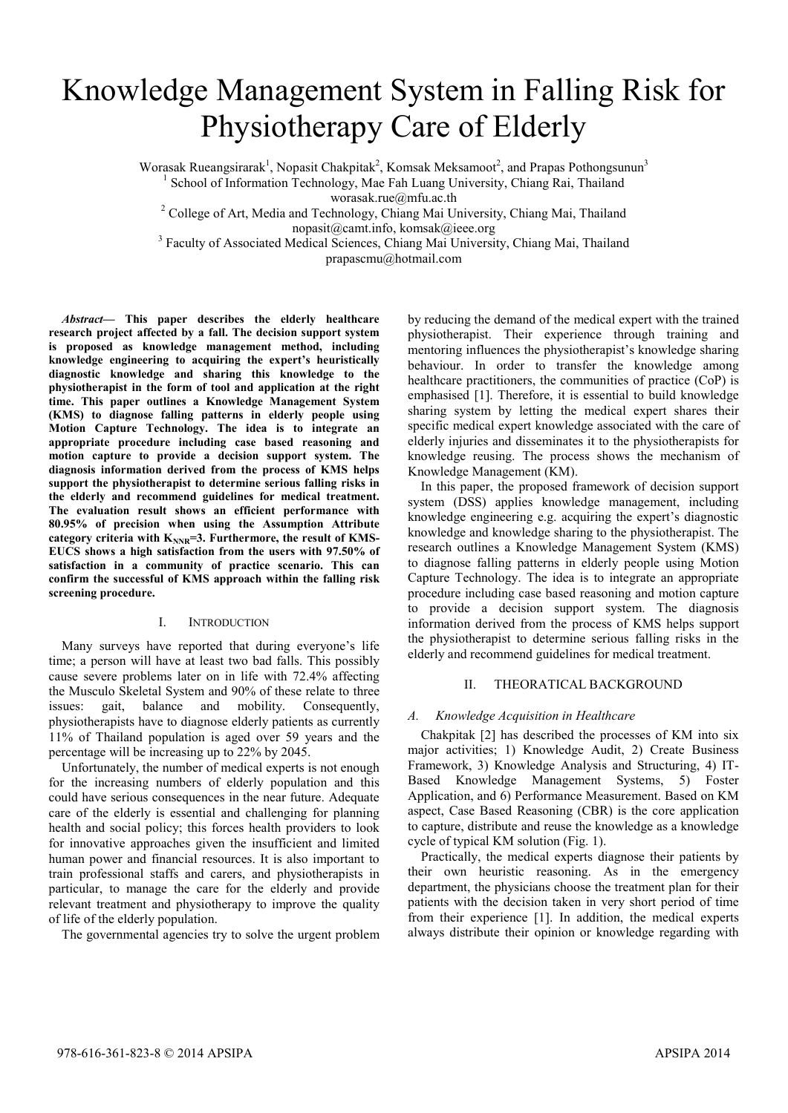# Knowledge Management System in Falling Risk for Physiotherapy Care of Elderly

Worasak Rueangsirarak<sup>1</sup>, Nopasit Chakpitak<sup>2</sup>, Komsak Meksamoot<sup>2</sup>, and Prapas Pothongsunun<sup>3</sup>

<sup>1</sup> School of Information Technology, Mae Fah Luang University, Chiang Rai, Thailand

worasak.rue@mfu.ac.th<br><sup>2</sup> College of Art, Media and Technology, Chiang Mai University, Chiang Mai, Thailand

nopasit@camt.info, komsak@ieee.org

<sup>3</sup> Faculty of Associated Medical Sciences, Chiang Mai University, Chiang Mai, Thailand prapascmu@hotmail.com

*Abstract***— This paper describes the elderly healthcare research project affected by a fall. The decision support system is proposed as knowledge management method, including knowledge engineering to acquiring the expert's heuristically diagnostic knowledge and sharing this knowledge to the physiotherapist in the form of tool and application at the right time. This paper outlines a Knowledge Management System (KMS) to diagnose falling patterns in elderly people using Motion Capture Technology. The idea is to integrate an appropriate procedure including case based reasoning and motion capture to provide a decision support system. The diagnosis information derived from the process of KMS helps support the physiotherapist to determine serious falling risks in the elderly and recommend guidelines for medical treatment. The evaluation result shows an efficient performance with 80.95% of precision when using the Assumption Attribute**  category criteria with K<sub>NNR</sub>=3. Furthermore, the result of KMS-**EUCS shows a high satisfaction from the users with 97.50% of satisfaction in a community of practice scenario. This can confirm the successful of KMS approach within the falling risk screening procedure.** 

# I. INTRODUCTION

 Many surveys have reported that during everyone's life time; a person will have at least two bad falls. This possibly cause severe problems later on in life with 72.4% affecting the Musculo Skeletal System and 90% of these relate to three issues: gait, balance and mobility. Consequently, issues: gait, balance and mobility. Consequently, physiotherapists have to diagnose elderly patients as currently 11% of Thailand population is aged over 59 years and the percentage will be increasing up to 22% by 2045.

Unfortunately, the number of medical experts is not enough for the increasing numbers of elderly population and this could have serious consequences in the near future. Adequate care of the elderly is essential and challenging for planning health and social policy; this forces health providers to look for innovative approaches given the insufficient and limited human power and financial resources. It is also important to train professional staffs and carers, and physiotherapists in particular, to manage the care for the elderly and provide relevant treatment and physiotherapy to improve the quality of life of the elderly population.

The governmental agencies try to solve the urgent problem

by reducing the demand of the medical expert with the trained physiotherapist. Their experience through training and mentoring influences the physiotherapist's knowledge sharing behaviour. In order to transfer the knowledge among healthcare practitioners, the communities of practice (CoP) is emphasised [1]. Therefore, it is essential to build knowledge sharing system by letting the medical expert shares their specific medical expert knowledge associated with the care of elderly injuries and disseminates it to the physiotherapists for knowledge reusing. The process shows the mechanism of Knowledge Management (KM).

In this paper, the proposed framework of decision support system (DSS) applies knowledge management, including knowledge engineering e.g. acquiring the expert's diagnostic knowledge and knowledge sharing to the physiotherapist. The research outlines a Knowledge Management System (KMS) to diagnose falling patterns in elderly people using Motion Capture Technology. The idea is to integrate an appropriate procedure including case based reasoning and motion capture to provide a decision support system. The diagnosis information derived from the process of KMS helps support the physiotherapist to determine serious falling risks in the elderly and recommend guidelines for medical treatment.

# II. THEORATICAL BACKGROUND

# *A. Knowledge Acquisition in Healthcare*

Chakpitak [2] has described the processes of KM into six major activities; 1) Knowledge Audit, 2) Create Business Framework, 3) Knowledge Analysis and Structuring, 4) IT-Based Knowledge Management Systems, 5) Foster Application, and 6) Performance Measurement. Based on KM aspect, Case Based Reasoning (CBR) is the core application to capture, distribute and reuse the knowledge as a knowledge cycle of typical KM solution (Fig. 1).

Practically, the medical experts diagnose their patients by their own heuristic reasoning. As in the emergency department, the physicians choose the treatment plan for their patients with the decision taken in very short period of time from their experience [1]. In addition, the medical experts always distribute their opinion or knowledge regarding with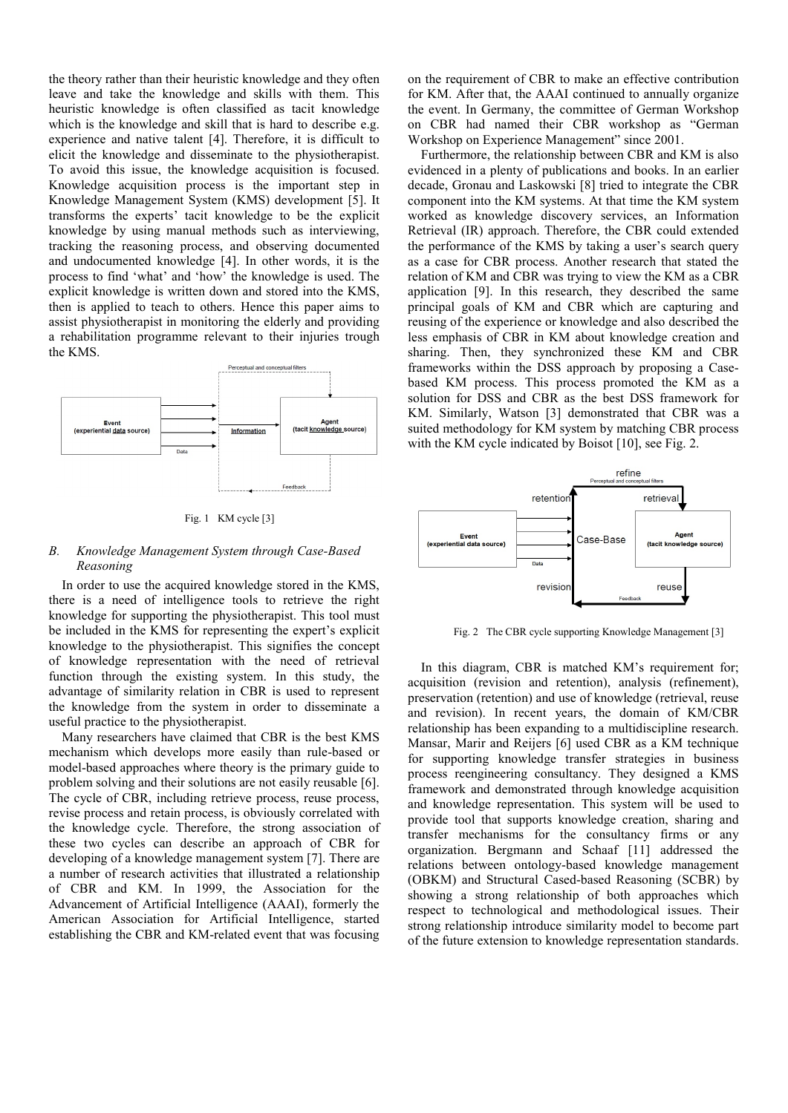the theory rather than their heuristic knowledge and they often leave and take the knowledge and skills with them. This heuristic knowledge is often classified as tacit knowledge which is the knowledge and skill that is hard to describe e.g. experience and native talent [4]. Therefore, it is difficult to elicit the knowledge and disseminate to the physiotherapist. To avoid this issue, the knowledge acquisition is focused. Knowledge acquisition process is the important step in Knowledge Management System (KMS) development [5]. It transforms the experts' tacit knowledge to be the explicit knowledge by using manual methods such as interviewing, tracking the reasoning process, and observing documented and undocumented knowledge [4]. In other words, it is the process to find 'what' and 'how' the knowledge is used. The explicit knowledge is written down and stored into the KMS, then is applied to teach to others. Hence this paper aims to assist physiotherapist in monitoring the elderly and providing a rehabilitation programme relevant to their injuries trough the KMS.



Fig. 1 KM cycle [3]

#### *B. Knowledge Management System through Case-Based Reasoning*

In order to use the acquired knowledge stored in the KMS, there is a need of intelligence tools to retrieve the right knowledge for supporting the physiotherapist. This tool must be included in the KMS for representing the expert's explicit knowledge to the physiotherapist. This signifies the concept of knowledge representation with the need of retrieval function through the existing system. In this study, the advantage of similarity relation in CBR is used to represent the knowledge from the system in order to disseminate a useful practice to the physiotherapist.

Many researchers have claimed that CBR is the best KMS mechanism which develops more easily than rule-based or model-based approaches where theory is the primary guide to problem solving and their solutions are not easily reusable [6]. The cycle of CBR, including retrieve process, reuse process, revise process and retain process, is obviously correlated with the knowledge cycle. Therefore, the strong association of these two cycles can describe an approach of CBR for developing of a knowledge management system [7]. There are a number of research activities that illustrated a relationship of CBR and KM. In 1999, the Association for the Advancement of Artificial Intelligence (AAAI), formerly the American Association for Artificial Intelligence, started establishing the CBR and KM-related event that was focusing on the requirement of CBR to make an effective contribution for KM. After that, the AAAI continued to annually organize the event. In Germany, the committee of German Workshop on CBR had named their CBR workshop as "German Workshop on Experience Management" since 2001.

Furthermore, the relationship between CBR and KM is also evidenced in a plenty of publications and books. In an earlier decade, Gronau and Laskowski [8] tried to integrate the CBR component into the KM systems. At that time the KM system worked as knowledge discovery services, an Information Retrieval (IR) approach. Therefore, the CBR could extended the performance of the KMS by taking a user's search query as a case for CBR process. Another research that stated the relation of KM and CBR was trying to view the KM as a CBR application [9]. In this research, they described the same principal goals of KM and CBR which are capturing and reusing of the experience or knowledge and also described the less emphasis of CBR in KM about knowledge creation and sharing. Then, they synchronized these KM and CBR frameworks within the DSS approach by proposing a Casebased KM process. This process promoted the KM as a solution for DSS and CBR as the best DSS framework for KM. Similarly, Watson [3] demonstrated that CBR was a suited methodology for KM system by matching CBR process with the KM cycle indicated by Boisot [10], see Fig. 2.



Fig. 2 The CBR cycle supporting Knowledge Management [3]

In this diagram, CBR is matched KM's requirement for; acquisition (revision and retention), analysis (refinement), preservation (retention) and use of knowledge (retrieval, reuse and revision). In recent years, the domain of KM/CBR relationship has been expanding to a multidiscipline research. Mansar, Marir and Reijers [6] used CBR as a KM technique for supporting knowledge transfer strategies in business process reengineering consultancy. They designed a KMS framework and demonstrated through knowledge acquisition and knowledge representation. This system will be used to provide tool that supports knowledge creation, sharing and transfer mechanisms for the consultancy firms or any organization. Bergmann and Schaaf [11] addressed the relations between ontology-based knowledge management (OBKM) and Structural Cased-based Reasoning (SCBR) by showing a strong relationship of both approaches which respect to technological and methodological issues. Their strong relationship introduce similarity model to become part of the future extension to knowledge representation standards.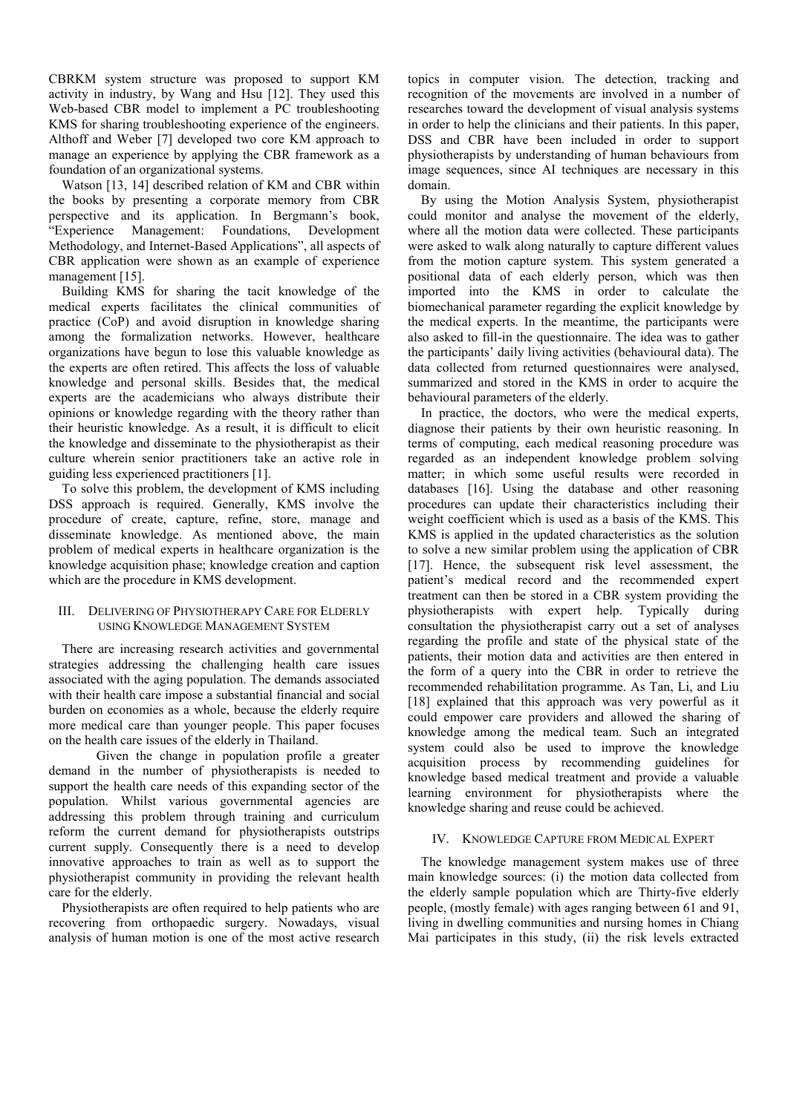CBRKM system structure was proposed to support KM activity in industry, by Wang and Hsu [12]. They used this Web-based CBR model to implement a PC troubleshooting KMS for sharing troubleshooting experience of the engineers. Althoff and Weber [7] developed two core KM approach to manage an experience by applying the CBR framework as a foundation of an organizational systems.

Watson [13, 14] described relation of KM and CBR within the books by presenting a corporate memory from CBR perspective and its application. In Bergmann's book, "Experience Management: Foundations, Development Methodology, and Internet-Based Applications", all aspects of CBR application were shown as an example of experience management [15].

Building KMS for sharing the tacit knowledge of the medical experts facilitates the clinical communities of practice (CoP) and avoid disruption in knowledge sharing among the formalization networks. However, healthcare organizations have begun to lose this valuable knowledge as the experts are often retired. This affects the loss of valuable knowledge and personal skills. Besides that, the medical experts are the academicians who always distribute their opinions or knowledge regarding with the theory rather than their heuristic knowledge. As a result, it is difficult to elicit the knowledge and disseminate to the physiotherapist as their culture wherein senior practitioners take an active role in guiding less experienced practitioners [1].

To solve this problem, the development of KMS including DSS approach is required. Generally, KMS involve the procedure of create, capture, refine, store, manage and disseminate knowledge. As mentioned above, the main problem of medical experts in healthcare organization is the knowledge acquisition phase; knowledge creation and caption which are the procedure in KMS development.

## III. DELIVERING OF PHYSIOTHERAPY CARE FOR ELDERLY USING KNOWLEDGE MANAGEMENT SYSTEM

There are increasing research activities and governmental strategies addressing the challenging health care issues associated with the aging population. The demands associated with their health care impose a substantial financial and social burden on economies as a whole, because the elderly require more medical care than younger people. This paper focuses on the health care issues of the elderly in Thailand.

 Given the change in population profile a greater demand in the number of physiotherapists is needed to support the health care needs of this expanding sector of the population. Whilst various governmental agencies are addressing this problem through training and curriculum reform the current demand for physiotherapists outstrips current supply. Consequently there is a need to develop innovative approaches to train as well as to support the physiotherapist community in providing the relevant health care for the elderly.

Physiotherapists are often required to help patients who are recovering from orthopaedic surgery. Nowadays, visual analysis of human motion is one of the most active research topics in computer vision. The detection, tracking and recognition of the movements are involved in a number of researches toward the development of visual analysis systems in order to help the clinicians and their patients. In this paper, DSS and CBR have been included in order to support physiotherapists by understanding of human behaviours from image sequences, since AI techniques are necessary in this domain.

By using the Motion Analysis System, physiotherapist could monitor and analyse the movement of the elderly, where all the motion data were collected. These participants were asked to walk along naturally to capture different values from the motion capture system. This system generated a positional data of each elderly person, which was then imported into the KMS in order to calculate the biomechanical parameter regarding the explicit knowledge by the medical experts. In the meantime, the participants were also asked to fill-in the questionnaire. The idea was to gather the participants' daily living activities (behavioural data). The data collected from returned questionnaires were analysed, summarized and stored in the KMS in order to acquire the behavioural parameters of the elderly.

In practice, the doctors, who were the medical experts, diagnose their patients by their own heuristic reasoning. In terms of computing, each medical reasoning procedure was regarded as an independent knowledge problem solving matter; in which some useful results were recorded in databases [16]. Using the database and other reasoning procedures can update their characteristics including their weight coefficient which is used as a basis of the KMS. This KMS is applied in the updated characteristics as the solution to solve a new similar problem using the application of CBR [17]. Hence, the subsequent risk level assessment, the patient's medical record and the recommended expert treatment can then be stored in a CBR system providing the physiotherapists with expert help. Typically during consultation the physiotherapist carry out a set of analyses regarding the profile and state of the physical state of the patients, their motion data and activities are then entered in the form of a query into the CBR in order to retrieve the recommended rehabilitation programme. As Tan, Li, and Liu [18] explained that this approach was very powerful as it could empower care providers and allowed the sharing of knowledge among the medical team. Such an integrated system could also be used to improve the knowledge acquisition process by recommending guidelines for knowledge based medical treatment and provide a valuable learning environment for physiotherapists where the knowledge sharing and reuse could be achieved.

## IV. KNOWLEDGE CAPTURE FROM MEDICAL EXPERT

The knowledge management system makes use of three main knowledge sources: (i) the motion data collected from the elderly sample population which are Thirty-five elderly people, (mostly female) with ages ranging between 61 and 91, living in dwelling communities and nursing homes in Chiang Mai participates in this study, (ii) the risk levels extracted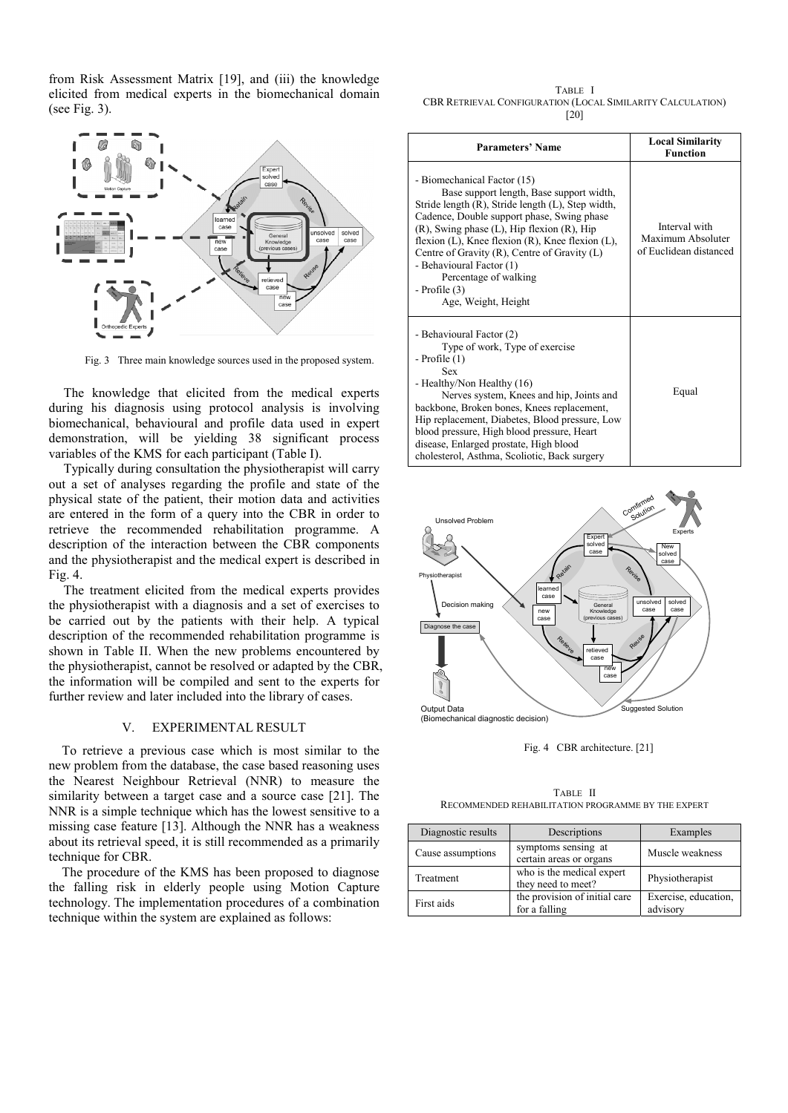from Risk Assessment Matrix [19], and (iii) the knowledge elicited from medical experts in the biomechanical domain (see Fig. 3).



Fig. 3 Three main knowledge sources used in the proposed system.

 The knowledge that elicited from the medical experts during his diagnosis using protocol analysis is involving biomechanical, behavioural and profile data used in expert demonstration, will be yielding 38 significant process variables of the KMS for each participant (Table I).

 Typically during consultation the physiotherapist will carry out a set of analyses regarding the profile and state of the physical state of the patient, their motion data and activities are entered in the form of a query into the CBR in order to retrieve the recommended rehabilitation programme. A description of the interaction between the CBR components and the physiotherapist and the medical expert is described in Fig. 4.

 The treatment elicited from the medical experts provides the physiotherapist with a diagnosis and a set of exercises to be carried out by the patients with their help. A typical description of the recommended rehabilitation programme is shown in Table II. When the new problems encountered by the physiotherapist, cannot be resolved or adapted by the CBR, the information will be compiled and sent to the experts for further review and later included into the library of cases.

## V. EXPERIMENTAL RESULT

To retrieve a previous case which is most similar to the new problem from the database, the case based reasoning uses the Nearest Neighbour Retrieval (NNR) to measure the similarity between a target case and a source case [21]. The NNR is a simple technique which has the lowest sensitive to a missing case feature [13]. Although the NNR has a weakness about its retrieval speed, it is still recommended as a primarily technique for CBR.

The procedure of the KMS has been proposed to diagnose the falling risk in elderly people using Motion Capture technology. The implementation procedures of a combination technique within the system are explained as follows:

TABLE I CBR RETRIEVAL CONFIGURATION (LOCAL SIMILARITY CALCULATION) [20]

| <b>Parameters' Name</b>                                                                                                                                                                                                                                                                                                                                                                                                                              | <b>Local Similarity</b><br><b>Function</b>                   |
|------------------------------------------------------------------------------------------------------------------------------------------------------------------------------------------------------------------------------------------------------------------------------------------------------------------------------------------------------------------------------------------------------------------------------------------------------|--------------------------------------------------------------|
| - Biomechanical Factor (15)<br>Base support length, Base support width,<br>Stride length (R), Stride length (L), Step width,<br>Cadence, Double support phase, Swing phase<br>$(R)$ , Swing phase $(L)$ , Hip flexion $(R)$ , Hip<br>flexion $(L)$ , Knee flexion $(R)$ , Knee flexion $(L)$ ,<br>Centre of Gravity $(R)$ , Centre of Gravity $(L)$<br>- Behavioural Factor (1)<br>Percentage of walking<br>$-$ Profile $(3)$<br>Age, Weight, Height | Interval with<br>Maximum Absoluter<br>of Euclidean distanced |
| - Behavioural Factor (2)<br>Type of work, Type of exercise<br>$-$ Profile $(1)$<br><b>Sex</b><br>- Healthy/Non Healthy (16)<br>Nerves system, Knees and hip, Joints and<br>backbone, Broken bones, Knees replacement,<br>Hip replacement, Diabetes, Blood pressure, Low<br>blood pressure, High blood pressure, Heart<br>disease, Enlarged prostate, High blood<br>cholesterol, Asthma, Scoliotic, Back surgery                                      | Equal                                                        |



Fig. 4 CBR architecture. [21]

TABLE II RECOMMENDED REHABILITATION PROGRAMME BY THE EXPERT

| Diagnostic results | Descriptions                                    | Examples                         |  |
|--------------------|-------------------------------------------------|----------------------------------|--|
| Cause assumptions  | symptoms sensing at<br>certain areas or organs  | Muscle weakness                  |  |
| Treatment          | who is the medical expert<br>they need to meet? | Physiotherapist                  |  |
| First aids         | the provision of initial care<br>for a falling  | Exercise, education,<br>advisory |  |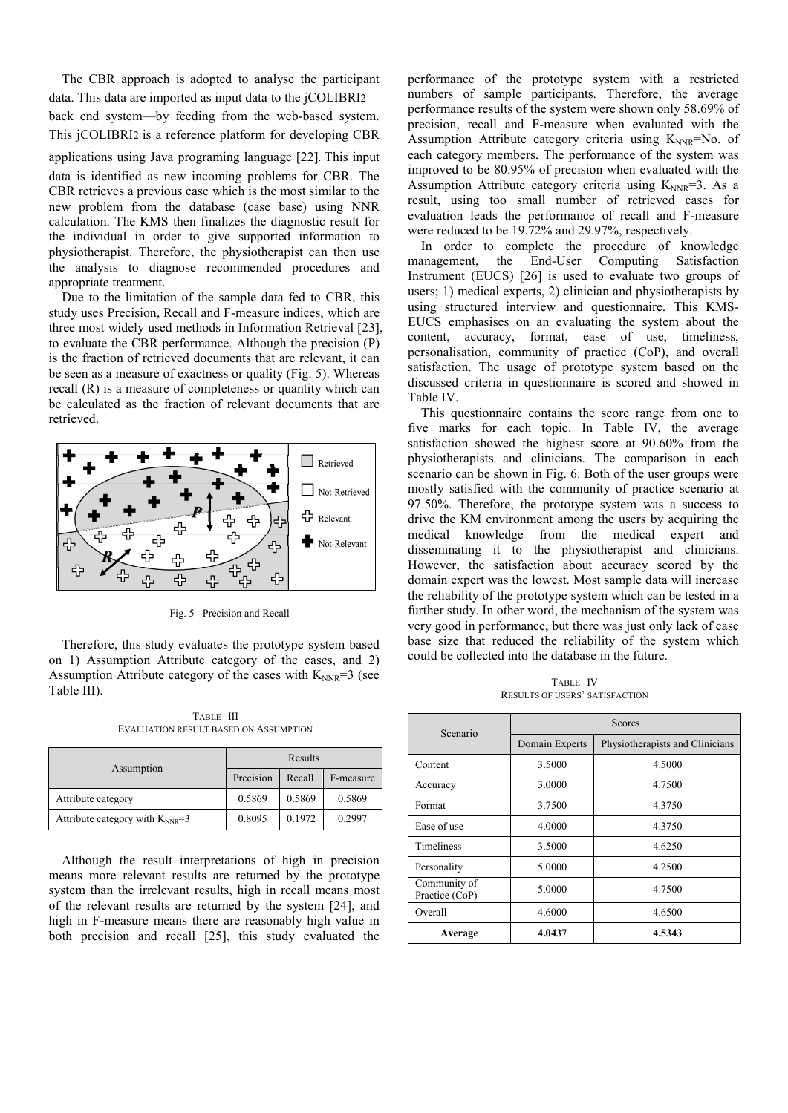The CBR approach is adopted to analyse the participant data. This data are imported as input data to the jCOLIBRI2 back end system—by feeding from the web-based system. This jCOLIBRI2 is a reference platform for developing CBR applications using Java programing language [22]. This input data is identified as new incoming problems for CBR. The CBR retrieves a previous case which is the most similar to the new problem from the database (case base) using NNR calculation. The KMS then finalizes the diagnostic result for the individual in order to give supported information to physiotherapist. Therefore, the physiotherapist can then use the analysis to diagnose recommended procedures and appropriate treatment.

Due to the limitation of the sample data fed to CBR, this study uses Precision, Recall and F-measure indices, which are three most widely used methods in Information Retrieval [23], to evaluate the CBR performance. Although the precision (P) is the fraction of retrieved documents that are relevant, it can be seen as a measure of exactness or quality (Fig. 5). Whereas recall (R) is a measure of completeness or quantity which can be calculated as the fraction of relevant documents that are retrieved.



Fig. 5 Precision and Recall

Therefore, this study evaluates the prototype system based on 1) Assumption Attribute category of the cases, and 2) Assumption Attribute category of the cases with  $K_{NNR}$ =3 (see Table III).

TABLE III EVALUATION RESULT BASED ON ASSUMPTION

|                                       | Results   |        |           |
|---------------------------------------|-----------|--------|-----------|
| Assumption                            | Precision | Recall | F-measure |
| Attribute category                    | 0.5869    | 0.5869 | 0.5869    |
| Attribute category with $K_{NNR} = 3$ | 0.8095    | 0.1972 | 0.2997    |

Although the result interpretations of high in precision means more relevant results are returned by the prototype system than the irrelevant results, high in recall means most of the relevant results are returned by the system [24], and high in F-measure means there are reasonably high value in both precision and recall [25], this study evaluated the performance of the prototype system with a restricted numbers of sample participants. Therefore, the average performance results of the system were shown only 58.69% of precision, recall and F-measure when evaluated with the Assumption Attribute category criteria using  $K_{NNR}$ =No. of each category members. The performance of the system was improved to be 80.95% of precision when evaluated with the Assumption Attribute category criteria using  $K_{NNR}=3$ . As a result, using too small number of retrieved cases for evaluation leads the performance of recall and F-measure were reduced to be 19.72% and 29.97%, respectively.

In order to complete the procedure of knowledge anagement, the End-User Computing Satisfaction management, the End-User Computing Satisfaction Instrument (EUCS) [26] is used to evaluate two groups of users; 1) medical experts, 2) clinician and physiotherapists by using structured interview and questionnaire. This KMS-EUCS emphasises on an evaluating the system about the content, accuracy, format, ease of use, timeliness, personalisation, community of practice (CoP), and overall satisfaction. The usage of prototype system based on the discussed criteria in questionnaire is scored and showed in Table IV.

This questionnaire contains the score range from one to five marks for each topic. In Table IV, the average satisfaction showed the highest score at 90.60% from the physiotherapists and clinicians. The comparison in each scenario can be shown in Fig. 6. Both of the user groups were mostly satisfied with the community of practice scenario at 97.50%. Therefore, the prototype system was a success to drive the KM environment among the users by acquiring the medical knowledge from the medical expert and disseminating it to the physiotherapist and clinicians. However, the satisfaction about accuracy scored by the domain expert was the lowest. Most sample data will increase the reliability of the prototype system which can be tested in a further study. In other word, the mechanism of the system was very good in performance, but there was just only lack of case base size that reduced the reliability of the system which could be collected into the database in the future.

TABLE IV RESULTS OF USERS' SATISFACTION

| Scenario                       | <b>Scores</b>  |                                 |  |
|--------------------------------|----------------|---------------------------------|--|
|                                | Domain Experts | Physiotherapists and Clinicians |  |
| Content                        | 3.5000         | 4.5000                          |  |
| Accuracy                       | 3.0000         | 4.7500                          |  |
| Format                         | 3.7500         | 4.3750                          |  |
| Ease of use                    | 4.0000         | 4.3750                          |  |
| <b>Timeliness</b>              | 3.5000         | 4.6250                          |  |
| Personality                    | 5.0000         | 4.2500                          |  |
| Community of<br>Practice (CoP) | 5.0000         | 4.7500                          |  |
| Overall                        | 4.6000         | 4.6500                          |  |
| Average                        | 4.0437         | 4.5343                          |  |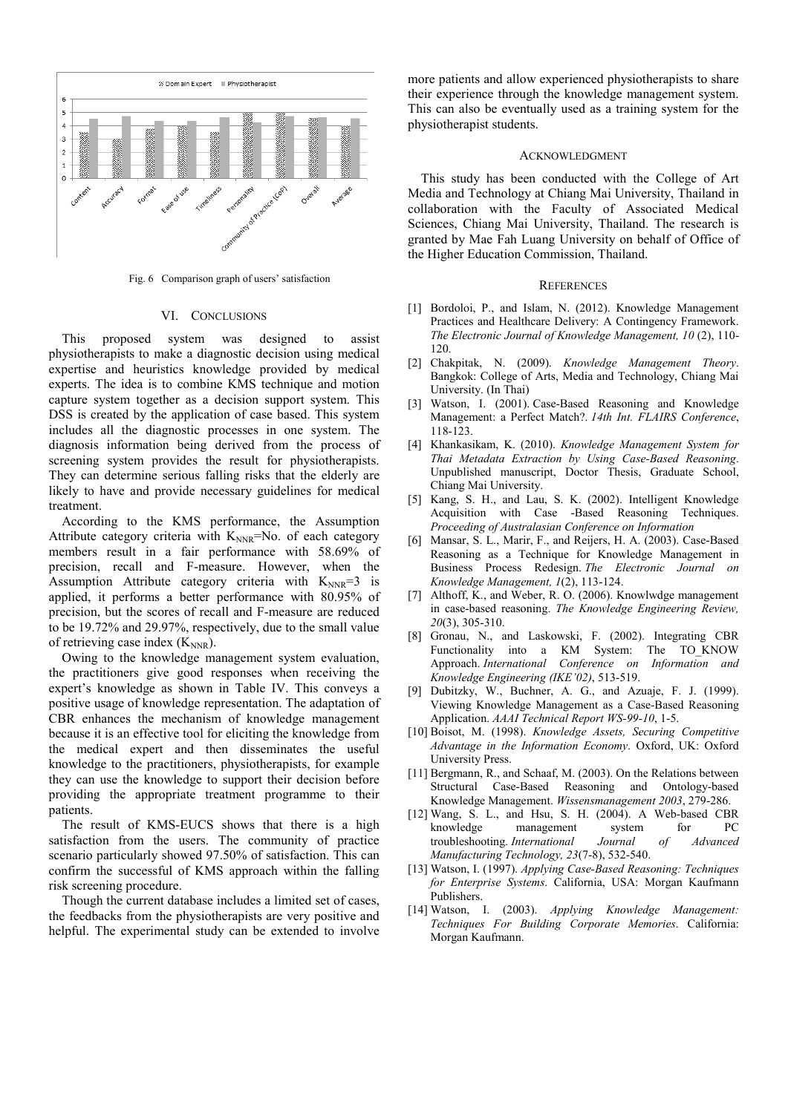

Fig. 6 Comparison graph of users' satisfaction

#### VI. CONCLUSIONS

This proposed system was designed to assist physiotherapists to make a diagnostic decision using medical expertise and heuristics knowledge provided by medical experts. The idea is to combine KMS technique and motion capture system together as a decision support system. This DSS is created by the application of case based. This system includes all the diagnostic processes in one system. The diagnosis information being derived from the process of screening system provides the result for physiotherapists. They can determine serious falling risks that the elderly are likely to have and provide necessary guidelines for medical treatment.

According to the KMS performance, the Assumption Attribute category criteria with  $K_{NNR}$ =No. of each category members result in a fair performance with 58.69% of precision, recall and F-measure. However, when the Assumption Attribute category criteria with  $K_{NNR}=3$  is applied, it performs a better performance with 80.95% of precision, but the scores of recall and F-measure are reduced to be 19.72% and 29.97%, respectively, due to the small value of retrieving case index  $(K_{NNR})$ .

Owing to the knowledge management system evaluation, the practitioners give good responses when receiving the expert's knowledge as shown in Table IV. This conveys a positive usage of knowledge representation. The adaptation of CBR enhances the mechanism of knowledge management because it is an effective tool for eliciting the knowledge from the medical expert and then disseminates the useful knowledge to the practitioners, physiotherapists, for example they can use the knowledge to support their decision before providing the appropriate treatment programme to their patients.

The result of KMS-EUCS shows that there is a high satisfaction from the users. The community of practice scenario particularly showed 97.50% of satisfaction. This can confirm the successful of KMS approach within the falling risk screening procedure.

Though the current database includes a limited set of cases, the feedbacks from the physiotherapists are very positive and helpful. The experimental study can be extended to involve more patients and allow experienced physiotherapists to share their experience through the knowledge management system. This can also be eventually used as a training system for the physiotherapist students.

### ACKNOWLEDGMENT

This study has been conducted with the College of Art Media and Technology at Chiang Mai University, Thailand in collaboration with the Faculty of Associated Medical Sciences, Chiang Mai University, Thailand. The research is granted by Mae Fah Luang University on behalf of Office of the Higher Education Commission, Thailand.

### **REFERENCES**

- [1] Bordoloi, P., and Islam, N. (2012). Knowledge Management Practices and Healthcare Delivery: A Contingency Framework. *The Electronic Journal of Knowledge Management, 10* (2), 110- 120.
- [2] Chakpitak, N. (2009). *Knowledge Management Theory*. Bangkok: College of Arts, Media and Technology, Chiang Mai University. (In Thai)
- [3] Watson, I. (2001). Case-Based Reasoning and Knowledge Management: a Perfect Match?. *14th Int. FLAIRS Conference*, 118-123.
- [4] Khankasikam, K. (2010). *Knowledge Management System for Thai Metadata Extraction by Using Case-Based Reasoning*. Unpublished manuscript, Doctor Thesis, Graduate School, Chiang Mai University.
- [5] Kang, S. H., and Lau, S. K. (2002). Intelligent Knowledge Acquisition with Case -Based Reasoning Techniques. *Proceeding of Australasian Conference on Information*
- [6] Mansar, S. L., Marir, F., and Reijers, H. A. (2003). Case-Based Reasoning as a Technique for Knowledge Management in Business Process Redesign. *The Electronic Journal on Knowledge Management, 1*(2), 113-124.
- [7] Althoff, K., and Weber, R. O. (2006). Knowlwdge management in case-based reasoning. *The Knowledge Engineering Review, 20*(3), 305-310.
- [8] Gronau, N., and Laskowski, F. (2002). Integrating CBR Functionality into a KM System: The TO\_KNOW Approach. *International Conference on Information and Knowledge Engineering (IKE'02)*, 513-519.
- [9] Dubitzky, W., Buchner, A. G., and Azuaje, F. J. (1999). Viewing Knowledge Management as a Case-Based Reasoning Application. *AAAI Technical Report WS-99-10*, 1-5.
- [10] Boisot, M. (1998). *Knowledge Assets, Securing Competitive Advantage in the Information Economy*. Oxford, UK: Oxford University Press.
- [11] Bergmann, R., and Schaaf, M. (2003). On the Relations between Structural Case-Based Reasoning and Ontology-based Knowledge Management. *Wissensmanagement 2003*, 279-286.
- [12] Wang, S. L., and Hsu, S. H. (2004). A Web-based CBR knowledge management system for PC troubleshooting. *International Journal of Advanced Manufacturing Technology, 23*(7-8), 532-540.
- [13] Watson, I. (1997). *Applying Case-Based Reasoning: Techniques for Enterprise Systems*. California, USA: Morgan Kaufmann Publishers.
- [14] Watson, I. (2003). *Applying Knowledge Management: Techniques For Building Corporate Memories*. California: Morgan Kaufmann.